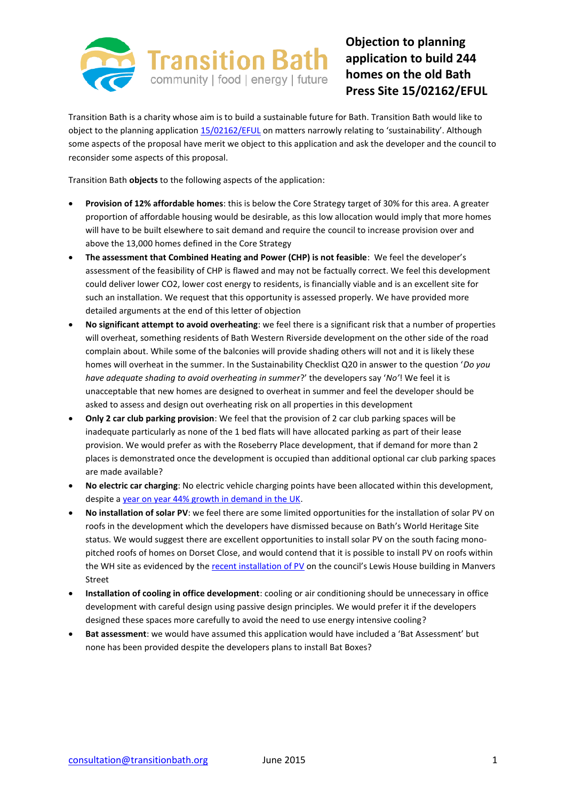

## **Objection to planning application to build 244 homes on the old Bath Press Site 15/02162/EFUL**

Transition Bath is a charity whose aim is to build a sustainable future for Bath. Transition Bath would like to object to the planning application [15/02162/EFUL](http://isharemaps.bathnes.gov.uk/projects/bathnes/developmentcontrol/default.aspx?requesttype=parsetemplate&template=DevelopmentControlApplication.tmplt&basepage=default.aspx&Filter=%5eREFVAL%5e=) on matters narrowly relating to 'sustainability'. Although some aspects of the proposal have merit we object to this application and ask the developer and the council to reconsider some aspects of this proposal.

Transition Bath **objects** to the following aspects of the application:

- **Provision of 12% affordable homes**: this is below the Core Strategy target of 30% for this area. A greater proportion of affordable housing would be desirable, as this low allocation would imply that more homes will have to be built elsewhere to sait demand and require the council to increase provision over and above the 13,000 homes defined in the Core Strategy
- **The assessment that Combined Heating and Power (CHP) is not feasible**: We feel the developer's assessment of the feasibility of CHP is flawed and may not be factually correct. We feel this development could deliver lower CO2, lower cost energy to residents, is financially viable and is an excellent site for such an installation. We request that this opportunity is assessed properly. We have provided more detailed arguments at the end of this letter of objection
- **No significant attempt to avoid overheating**: we feel there is a significant risk that a number of properties will overheat, something residents of Bath Western Riverside development on the other side of the road complain about. While some of the balconies will provide shading others will not and it is likely these homes will overheat in the summer. In the Sustainability Checklist Q20 in answer to the question '*Do you have adequate shading to avoid overheating in summer*?' the developers say '*No'*! We feel it is unacceptable that new homes are designed to overheat in summer and feel the developer should be asked to assess and design out overheating risk on all properties in this development
- **Only 2 car club parking provision**: We feel that the provision of 2 car club parking spaces will be inadequate particularly as none of the 1 bed flats will have allocated parking as part of their lease provision. We would prefer as with the Roseberry Place development, that if demand for more than 2 places is demonstrated once the development is occupied than additional optional car club parking spaces are made available?
- **No electric car charging**: No electric vehicle charging points have been allocated within this development, despite a [year on year 44% growth in demand in the UK.](http://www.theguardian.com/environment/2014/oct/07/uk-electric-car-sales-surge-in-2014)
- **No installation of solar PV**: we feel there are some limited opportunities for the installation of solar PV on roofs in the development which the developers have dismissed because on Bath's World Heritage Site status. We would suggest there are excellent opportunities to install solar PV on the south facing monopitched roofs of homes on Dorset Close, and would contend that it is possible to install PV on roofs within the WH site as evidenced by the [recent installation of PV](http://transitionbath.org/bwce-installs-37-5-kwp-solar-pv-council-buildings-lewis-house-manvers-street/) on the council's Lewis House building in Manvers Street
- **Installation of cooling in office development**: cooling or air conditioning should be unnecessary in office development with careful design using passive design principles. We would prefer it if the developers designed these spaces more carefully to avoid the need to use energy intensive cooling?
- **Bat assessment**: we would have assumed this application would have included a 'Bat Assessment' but none has been provided despite the developers plans to install Bat Boxes?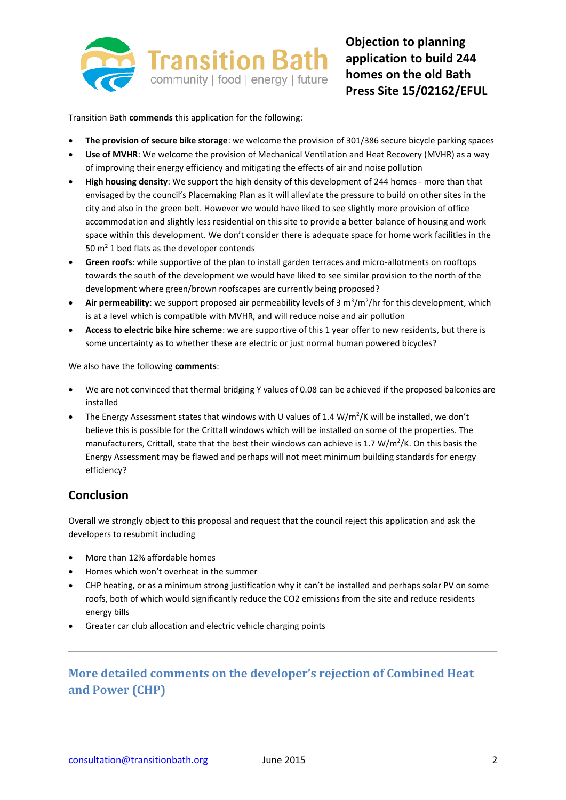

Transition Bath **commends** this application for the following:

- **The provision of secure bike storage**: we welcome the provision of 301/386 secure bicycle parking spaces
- **Use of MVHR**: We welcome the provision of Mechanical Ventilation and Heat Recovery (MVHR) as a way of improving their energy efficiency and mitigating the effects of air and noise pollution
- **High housing density**: We support the high density of this development of 244 homes more than that envisaged by the council's Placemaking Plan as it will alleviate the pressure to build on other sites in the city and also in the green belt. However we would have liked to see slightly more provision of office accommodation and slightly less residential on this site to provide a better balance of housing and work space within this development. We don't consider there is adequate space for home work facilities in the 50  $m<sup>2</sup>$  1 bed flats as the developer contends
- **Green roofs**: while supportive of the plan to install garden terraces and micro-allotments on rooftops towards the south of the development we would have liked to see similar provision to the north of the development where green/brown roofscapes are currently being proposed?
- Air permeability: we support proposed air permeability levels of 3 m<sup>3</sup>/m<sup>2</sup>/hr for this development, which is at a level which is compatible with MVHR, and will reduce noise and air pollution
- **Access to electric bike hire scheme**: we are supportive of this 1 year offer to new residents, but there is some uncertainty as to whether these are electric or just normal human powered bicycles?

We also have the following **comments**:

- We are not convinced that thermal bridging Y values of 0.08 can be achieved if the proposed balconies are installed
- The Energy Assessment states that windows with U values of 1.4 W/m<sup>2</sup>/K will be installed, we don't believe this is possible for the Crittall windows which will be installed on some of the properties. The manufacturers, Crittall, state that the best their windows can achieve is 1.7 W/m<sup>2</sup>/K. On this basis the Energy Assessment may be flawed and perhaps will not meet minimum building standards for energy efficiency?

## **Conclusion**

Overall we strongly object to this proposal and request that the council reject this application and ask the developers to resubmit including

- More than 12% affordable homes
- Homes which won't overheat in the summer
- CHP heating, or as a minimum strong justification why it can't be installed and perhaps solar PV on some roofs, both of which would significantly reduce the CO2 emissions from the site and reduce residents energy bills
- Greater car club allocation and electric vehicle charging points

## **More detailed comments on the developer's rejection of Combined Heat and Power (CHP)**